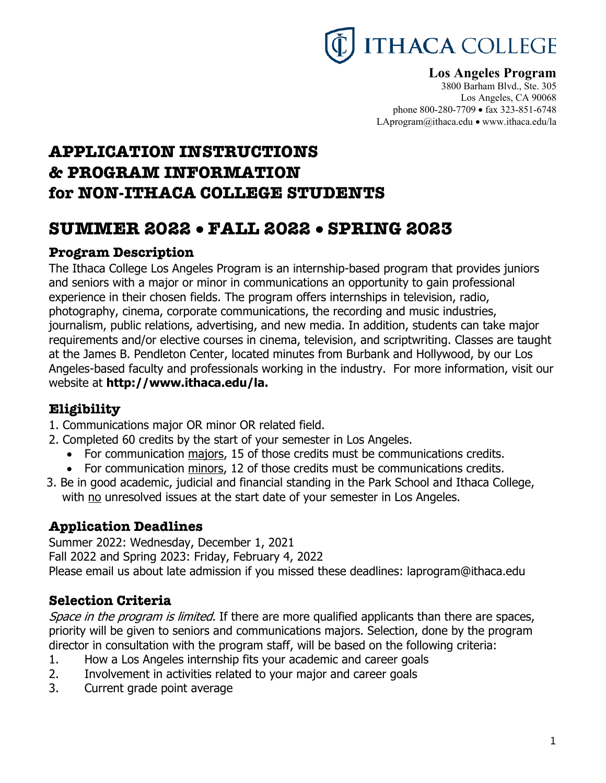# **THACA COLLEGE**

# **Los Angeles Program**

3800 Barham Blvd., Ste. 305 Los Angeles, CA 90068 phone 800-280-7709 • fax 323-851-6748 LAprogram@ithaca.edu • www.ithaca.edu/la

# **APPLICATION INSTRUCTIONS & PROGRAM INFORMATION for NON-ITHACA COLLEGE STUDENTS**

# **SUMMER 2022** • **FALL 2022** • **SPRING 2023**

# **Program Description**

The Ithaca College Los Angeles Program is an internship-based program that provides juniors and seniors with a major or minor in communications an opportunity to gain professional experience in their chosen fields. The program offers internships in television, radio, photography, cinema, corporate communications, the recording and music industries, journalism, public relations, advertising, and new media. In addition, students can take major requirements and/or elective courses in cinema, television, and scriptwriting. Classes are taught at the James B. Pendleton Center, located minutes from Burbank and Hollywood, by our Los Angeles-based faculty and professionals working in the industry. For more information, visit our website at **http://www.ithaca.edu/la.** 

# **Eligibility**

- 1. Communications major OR minor OR related field.
- 2. Completed 60 credits by the start of your semester in Los Angeles.
	- For communication majors, 15 of those credits must be communications credits.
	- For communication minors, 12 of those credits must be communications credits.
- 3. Be in good academic, judicial and financial standing in the Park School and Ithaca College, with no unresolved issues at the start date of your semester in Los Angeles.

# **Application Deadlines**

Summer 2022: Wednesday, December 1, 2021 Fall 2022 and Spring 2023: Friday, February 4, 2022 Please email us about late admission if you missed these deadlines: laprogram@ithaca.edu

# **Selection Criteria**

Space in the program is limited. If there are more qualified applicants than there are spaces, priority will be given to seniors and communications majors. Selection, done by the program director in consultation with the program staff, will be based on the following criteria:

- 1. How a Los Angeles internship fits your academic and career goals
- 2. Involvement in activities related to your major and career goals
- 3. Current grade point average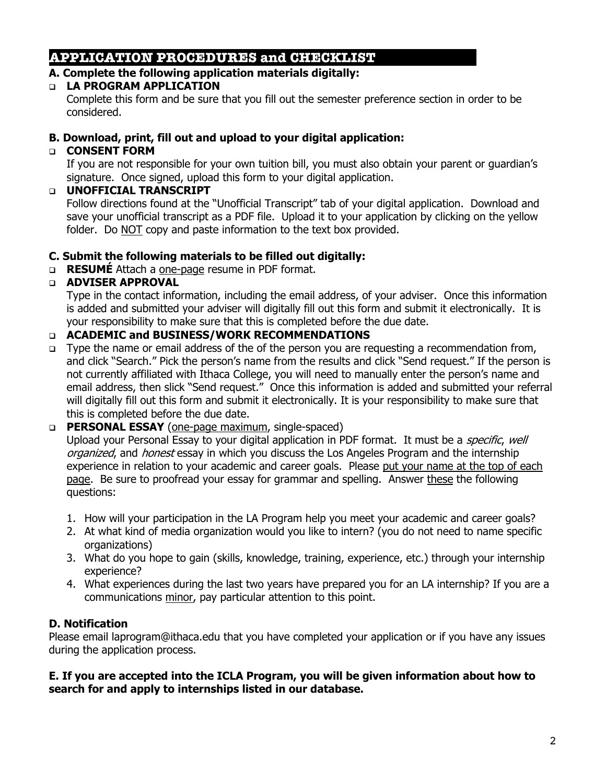# **APPLICATION PROCEDURES and CHECKLIST**

#### **A. Complete the following application materials digitally:**

#### q **LA PROGRAM APPLICATION**

Complete this form and be sure that you fill out the semester preference section in order to be considered.

#### **B. Download, print, fill out and upload to your digital application:**

## q **CONSENT FORM**

If you are not responsible for your own tuition bill, you must also obtain your parent or guardian's signature. Once signed, upload this form to your digital application.

#### q **UNOFFICIAL TRANSCRIPT**

Follow directions found at the "Unofficial Transcript" tab of your digital application. Download and save your unofficial transcript as a PDF file. Upload it to your application by clicking on the yellow folder. Do NOT copy and paste information to the text box provided.

#### **C. Submit the following materials to be filled out digitally:**

q **RESUMÉ** Attach a one-page resume in PDF format.

#### q **ADVISER APPROVAL**

Type in the contact information, including the email address, of your adviser. Once this information is added and submitted your adviser will digitally fill out this form and submit it electronically. It is your responsibility to make sure that this is completed before the due date.

#### q **ACADEMIC and BUSINESS/WORK RECOMMENDATIONS**

□ Type the name or email address of the of the person you are requesting a recommendation from, and click "Search." Pick the person's name from the results and click "Send request." If the person is not currently affiliated with Ithaca College, you will need to manually enter the person's name and email address, then slick "Send request." Once this information is added and submitted your referral will digitally fill out this form and submit it electronically. It is your responsibility to make sure that this is completed before the due date.

#### q **PERSONAL ESSAY** (one-page maximum, single-spaced)

Upload your Personal Essay to your digital application in PDF format. It must be a *specific, well* organized, and honest essay in which you discuss the Los Angeles Program and the internship experience in relation to your academic and career goals. Please put your name at the top of each page. Be sure to proofread your essay for grammar and spelling. Answer these the following questions:

- 1. How will your participation in the LA Program help you meet your academic and career goals?
- 2. At what kind of media organization would you like to intern? (you do not need to name specific organizations)
- 3. What do you hope to gain (skills, knowledge, training, experience, etc.) through your internship experience?
- 4. What experiences during the last two years have prepared you for an LA internship? If you are a communications minor, pay particular attention to this point.

## **D. Notification**

Please email laprogram@ithaca.edu that you have completed your application or if you have any issues during the application process.

#### **E. If you are accepted into the ICLA Program, you will be given information about how to search for and apply to internships listed in our database.**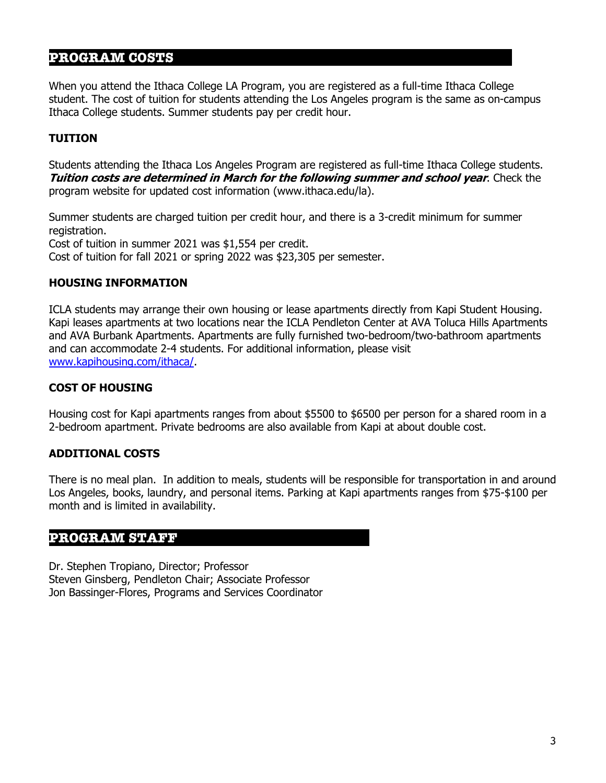# **PROGRAM COSTS**

When you attend the Ithaca College LA Program, you are registered as a full-time Ithaca College student. The cost of tuition for students attending the Los Angeles program is the same as on-campus Ithaca College students. Summer students pay per credit hour.

#### **TUITION**

Students attending the Ithaca Los Angeles Program are registered as full-time Ithaca College students. **Tuition costs are determined in March for the following summer and school year**. Check the program website for updated cost information (www.ithaca.edu/la).

Summer students are charged tuition per credit hour, and there is a 3-credit minimum for summer registration. Cost of tuition in summer 2021 was \$1,554 per credit. Cost of tuition for fall 2021 or spring 2022 was \$23,305 per semester.

#### **HOUSING INFORMATION**

ICLA students may arrange their own housing or lease apartments directly from Kapi Student Housing. Kapi leases apartments at two locations near the ICLA Pendleton Center at AVA Toluca Hills Apartments and AVA Burbank Apartments. Apartments are fully furnished two-bedroom/two-bathroom apartments and can accommodate 2-4 students. For additional information, please visit www.kapihousing.com/ithaca/.

#### **COST OF HOUSING**

Housing cost for Kapi apartments ranges from about \$5500 to \$6500 per person for a shared room in a 2-bedroom apartment. Private bedrooms are also available from Kapi at about double cost.

#### **ADDITIONAL COSTS**

There is no meal plan. In addition to meals, students will be responsible for transportation in and around Los Angeles, books, laundry, and personal items. Parking at Kapi apartments ranges from \$75-\$100 per month and is limited in availability.

#### **PROGRAM STAFF**

Dr. Stephen Tropiano, Director; Professor Steven Ginsberg, Pendleton Chair; Associate Professor Jon Bassinger-Flores, Programs and Services Coordinator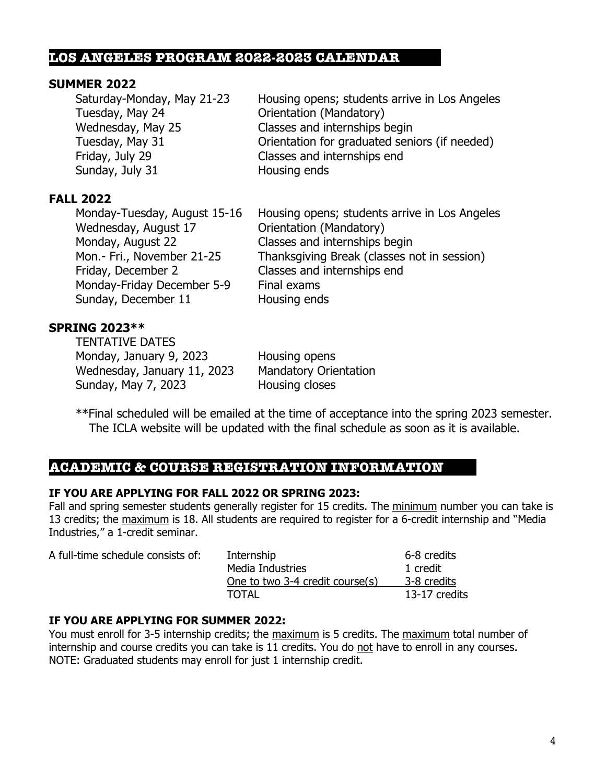#### **LOS ANGELES PROGRAM 2022-2023 CALENDAR**

#### **SUMMER 2022**

| Housing opens; students arrive in Los Angeles |
|-----------------------------------------------|
| Orientation (Mandatory)                       |
| Classes and internships begin                 |
| Orientation for graduated seniors (if needed) |
| Classes and internships end                   |
| Housing ends                                  |
|                                               |

#### **FALL 2022**

| Monday-Tuesday, August 15-16 | Housing opens; students arrive in Los Angeles |
|------------------------------|-----------------------------------------------|
| Wednesday, August 17         | Orientation (Mandatory)                       |
| Monday, August 22            | Classes and internships begin                 |
| Mon.- Fri., November 21-25   | Thanksgiving Break (classes not in session)   |
| Friday, December 2           | Classes and internships end                   |
| Monday-Friday December 5-9   | Final exams                                   |
| Sunday, December 11          | Housing ends                                  |

# **SPRING 2023\*\***

TENTATIVE DATES Monday, January 9, 2023 Housing opens Wednesday, January 11, 2023 Mandatory Orientation Sunday, May 7, 2023 Housing closes

\*\*Final scheduled will be emailed at the time of acceptance into the spring 2023 semester. The ICLA website will be updated with the final schedule as soon as it is available.

# **ACADEMIC & COURSE REGISTRATION INFORMATION**

#### **IF YOU ARE APPLYING FOR FALL 2022 OR SPRING 2023:**

Fall and spring semester students generally register for 15 credits. The minimum number you can take is 13 credits; the maximum is 18. All students are required to register for a 6-credit internship and "Media Industries," a 1-credit seminar.

| A full-time schedule consists of: | Internship                      | 6-8 credits   |
|-----------------------------------|---------------------------------|---------------|
|                                   | Media Industries                | 1 credit      |
|                                   | One to two 3-4 credit course(s) | 3-8 credits   |
|                                   | TOTAL                           | 13-17 credits |

#### **IF YOU ARE APPLYING FOR SUMMER 2022:**

You must enroll for 3-5 internship credits; the maximum is 5 credits. The maximum total number of internship and course credits you can take is 11 credits. You do not have to enroll in any courses. NOTE: Graduated students may enroll for just 1 internship credit.